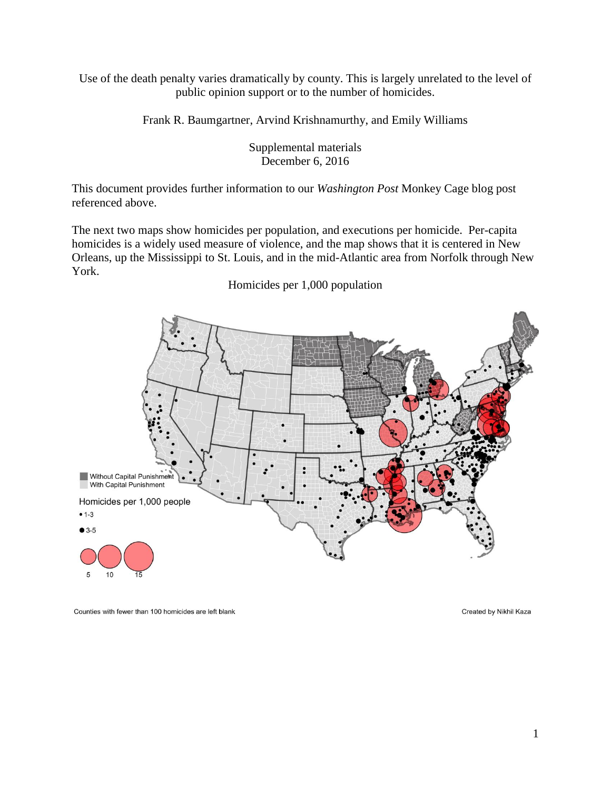Use of the death penalty varies dramatically by county. This is largely unrelated to the level of public opinion support or to the number of homicides.

Frank R. Baumgartner, Arvind Krishnamurthy, and Emily Williams

Supplemental materials December 6, 2016

This document provides further information to our *Washington Post* Monkey Cage blog post referenced above.

The next two maps show homicides per population, and executions per homicide. Per-capita homicides is a widely used measure of violence, and the map shows that it is centered in New Orleans, up the Mississippi to St. Louis, and in the mid-Atlantic area from Norfolk through New York.

Homicides per 1,000 population



Counties with fewer than 100 homicides are left blank

Created by Nikhil Kaza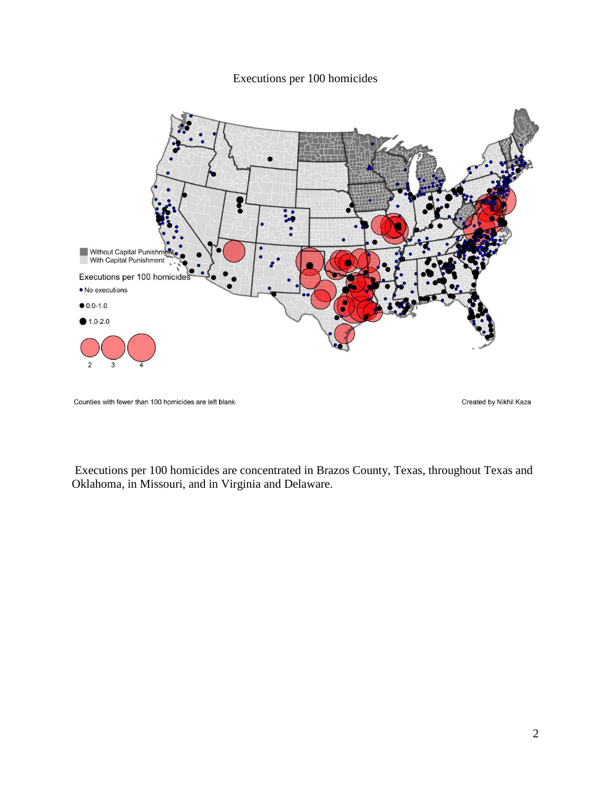## Executions per 100 homicides



Counties with fewer than 100 homicides are left blank

Created by Nikhil Kaza

Executions per 100 homicides are concentrated in Brazos County, Texas, throughout Texas and Oklahoma, in Missouri, and in Virginia and Delaware.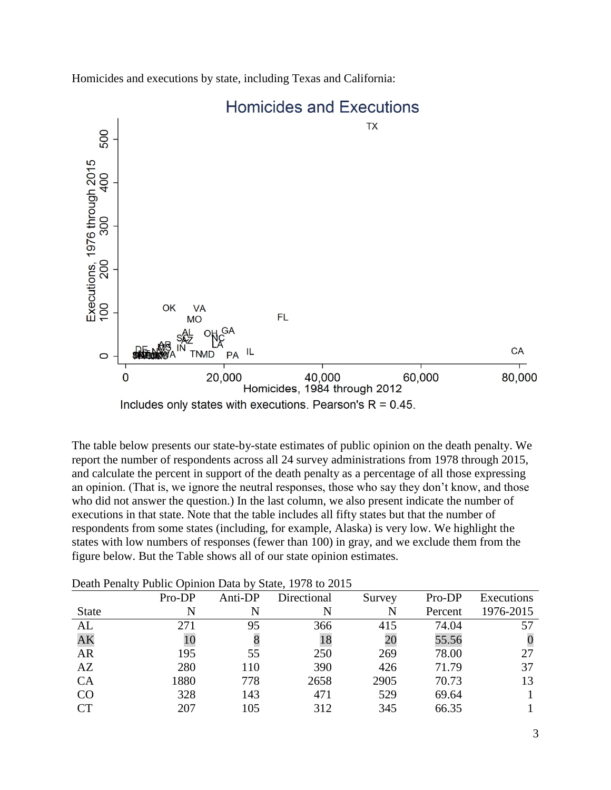

Homicides and executions by state, including Texas and California:

The table below presents our state-by-state estimates of public opinion on the death penalty. We report the number of respondents across all 24 survey administrations from 1978 through 2015, and calculate the percent in support of the death penalty as a percentage of all those expressing an opinion. (That is, we ignore the neutral responses, those who say they don't know, and those who did not answer the question.) In the last column, we also present indicate the number of executions in that state. Note that the table includes all fifty states but that the number of respondents from some states (including, for example, Alaska) is very low. We highlight the states with low numbers of responses (fewer than 100) in gray, and we exclude them from the figure below. But the Table shows all of our state opinion estimates.

| $\tilde{\phantom{a}}$ |        |         |             |        |         |            |
|-----------------------|--------|---------|-------------|--------|---------|------------|
|                       | Pro-DP | Anti-DP | Directional | Survey | Pro-DP  | Executions |
| <b>State</b>          | N      | N       | N           | N      | Percent | 1976-2015  |
| AL                    | 271    | 95      | 366         | 415    | 74.04   | 57         |
| AK                    | 10     |         | 18          | 20     | 55.56   |            |
| <b>AR</b>             | 195    | 55      | 250         | 269    | 78.00   | 27         |
| AZ                    | 280    | 110     | 390         | 426    | 71.79   | 37         |
| <b>CA</b>             | 1880   | 778     | 2658        | 2905   | 70.73   | 13         |
| CO                    | 328    | 143     | 471         | 529    | 69.64   |            |
| CT                    | 207    | 105     | 312         | 345    | 66.35   |            |
|                       |        |         |             |        |         |            |

Death Penalty Public Opinion Data by State, 1978 to 2015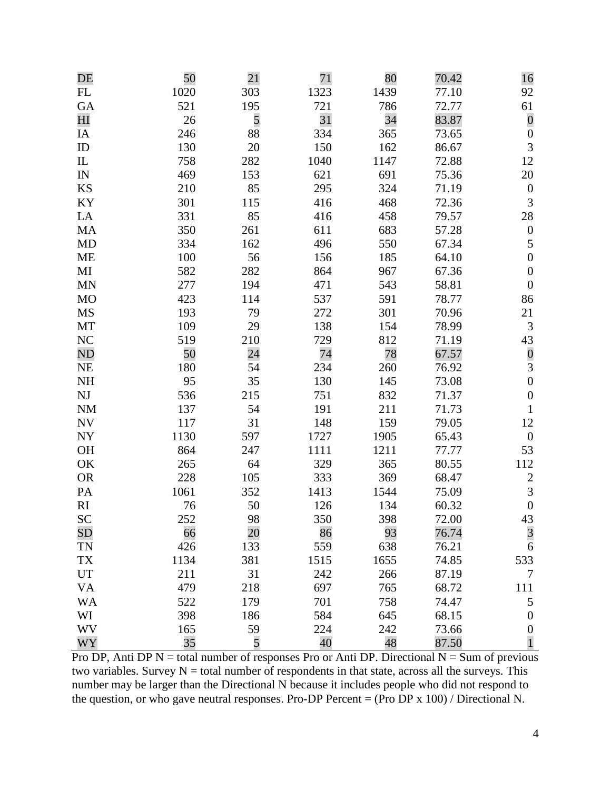| DE                         | 50   | 21  | 71   | 80   | 70.42 | 16               |
|----------------------------|------|-----|------|------|-------|------------------|
| FL                         | 1020 | 303 | 1323 | 1439 | 77.10 | 92               |
| <b>GA</b>                  | 521  | 195 | 721  | 786  | 72.77 | 61               |
| H                          | 26   | 5   | 31   | 34   | 83.87 | $\boldsymbol{0}$ |
| IA                         | 246  | 88  | 334  | 365  | 73.65 | $\boldsymbol{0}$ |
| ID                         | 130  | 20  | 150  | 162  | 86.67 | 3                |
| $\mathop{\rm IL}\nolimits$ | 758  | 282 | 1040 | 1147 | 72.88 | 12               |
| IN                         | 469  | 153 | 621  | 691  | 75.36 | 20               |
| <b>KS</b>                  | 210  | 85  | 295  | 324  | 71.19 | $\boldsymbol{0}$ |
| KY                         | 301  | 115 | 416  | 468  | 72.36 | $\mathfrak{Z}$   |
| LA                         | 331  | 85  | 416  | 458  | 79.57 | 28               |
| MA                         | 350  | 261 | 611  | 683  | 57.28 | $\boldsymbol{0}$ |
| MD                         | 334  | 162 | 496  | 550  | 67.34 | $\mathfrak s$    |
| <b>ME</b>                  | 100  | 56  | 156  | 185  | 64.10 | $\boldsymbol{0}$ |
| MI                         | 582  | 282 | 864  | 967  | 67.36 | $\boldsymbol{0}$ |
| <b>MN</b>                  | 277  | 194 | 471  | 543  | 58.81 | $\boldsymbol{0}$ |
| <b>MO</b>                  | 423  | 114 | 537  | 591  | 78.77 | 86               |
| <b>MS</b>                  | 193  | 79  | 272  | 301  | 70.96 | 21               |
| MT                         | 109  | 29  | 138  | 154  | 78.99 | 3                |
| NC                         | 519  | 210 | 729  | 812  | 71.19 | 43               |
| N <sub>D</sub>             | 50   | 24  | 74   | 78   | 67.57 |                  |
| <b>NE</b>                  | 180  | 54  | 234  | 260  | 76.92 | $\frac{0}{3}$    |
| NH                         | 95   | 35  | 130  | 145  | 73.08 | $\boldsymbol{0}$ |
| NJ                         | 536  | 215 | 751  | 832  | 71.37 | $\boldsymbol{0}$ |
| <b>NM</b>                  | 137  | 54  | 191  | 211  | 71.73 | $\mathbf{1}$     |
| ${\rm NV}$                 | 117  | 31  | 148  | 159  | 79.05 | 12               |
| <b>NY</b>                  | 1130 | 597 | 1727 | 1905 | 65.43 | $\boldsymbol{0}$ |
| <b>OH</b>                  | 864  | 247 | 1111 | 1211 | 77.77 | 53               |
| OK                         | 265  | 64  | 329  | 365  | 80.55 | 112              |
| <b>OR</b>                  | 228  | 105 | 333  | 369  | 68.47 | $\overline{c}$   |
| PA                         | 1061 | 352 | 1413 | 1544 | 75.09 | $\mathfrak{Z}$   |
| RI                         | 76   | 50  | 126  | 134  | 60.32 | $\boldsymbol{0}$ |
| SC                         | 252  | 98  | 350  | 398  | 72.00 |                  |
| SD                         | 66   | 20  | 86   | 93   | 76.74 | $\frac{43}{3}$   |
| <b>TN</b>                  | 426  | 133 | 559  | 638  | 76.21 | 6                |
| TX                         | 1134 | 381 | 1515 | 1655 | 74.85 | 533              |
| UT                         | 211  | 31  | 242  | 266  | 87.19 | 7                |
| <b>VA</b>                  | 479  | 218 | 697  | 765  | 68.72 | 111              |
| <b>WA</b>                  | 522  | 179 | 701  | 758  | 74.47 | 5                |
| WI                         | 398  | 186 | 584  | 645  | 68.15 | $\boldsymbol{0}$ |
| <b>WV</b>                  | 165  | 59  | 224  | 242  | 73.66 | $\boldsymbol{0}$ |
| WY                         | 35   | 5   | 40   | 48   | 87.50 | $\mathbf{1}$     |
|                            |      |     |      |      |       |                  |

Pro DP, Anti DP  $N =$  total number of responses Pro or Anti DP. Directional  $N =$  Sum of previous two variables. Survey  $N =$  total number of respondents in that state, across all the surveys. This number may be larger than the Directional N because it includes people who did not respond to the question, or who gave neutral responses. Pro-DP Percent =  $(Pro\ DP x 100)$  / Directional N.